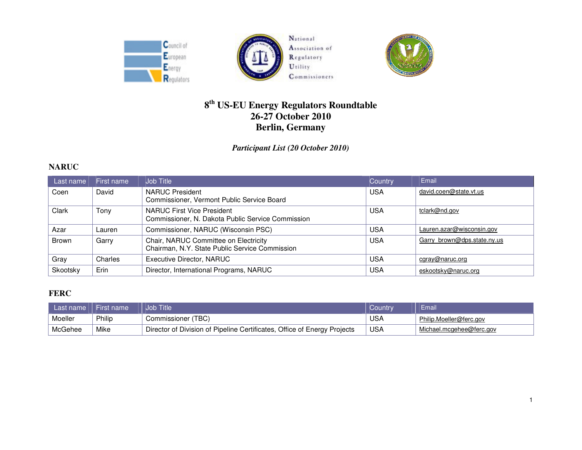



National Association of Regulatory Utility Commissioners



# **8th US-EU Energy Regulators Roundtable 26-27 October 2010 Berlin, Germany**

*Participant List (20 October 2010)* 

#### **NARUC**

| Last name | First name | <b>Job Title</b>                                                                        | Country    | Email                       |
|-----------|------------|-----------------------------------------------------------------------------------------|------------|-----------------------------|
| Coen      | David      | <b>NARUC President</b><br>Commissioner, Vermont Public Service Board                    | <b>USA</b> | david.coen@state.vt.us      |
| Clark     | Tony       | NARUC First Vice President<br>Commissioner, N. Dakota Public Service Commission         | <b>USA</b> | tclark@nd.gov               |
| Azar      | Lauren     | Commissioner, NARUC (Wisconsin PSC)                                                     | USA        | Lauren.azar@wisconsin.gov   |
| Brown     | Garry      | Chair, NARUC Committee on Electricity<br>Chairman, N.Y. State Public Service Commission | <b>USA</b> | Garry brown@dps.state.ny.us |
| Gray      | Charles    | <b>Executive Director, NARUC</b>                                                        | <b>USA</b> | cgray@naruc.org             |
| Skootsky  | Erin       | Director, International Programs, NARUC                                                 | <b>USA</b> | eskootsky@naruc.org         |

## **FERC**

| Last name | I First name | Job Title                                                                | Country    | Email                    |
|-----------|--------------|--------------------------------------------------------------------------|------------|--------------------------|
| Moeller   | Philip       | Commissioner (TBC)                                                       | USA        | Philip.Moeller@ferc.gov  |
| McGehee   | Mike         | Director of Division of Pipeline Certificates, Office of Energy Projects | <b>USA</b> | Michael.mcgehee@ferc.gov |